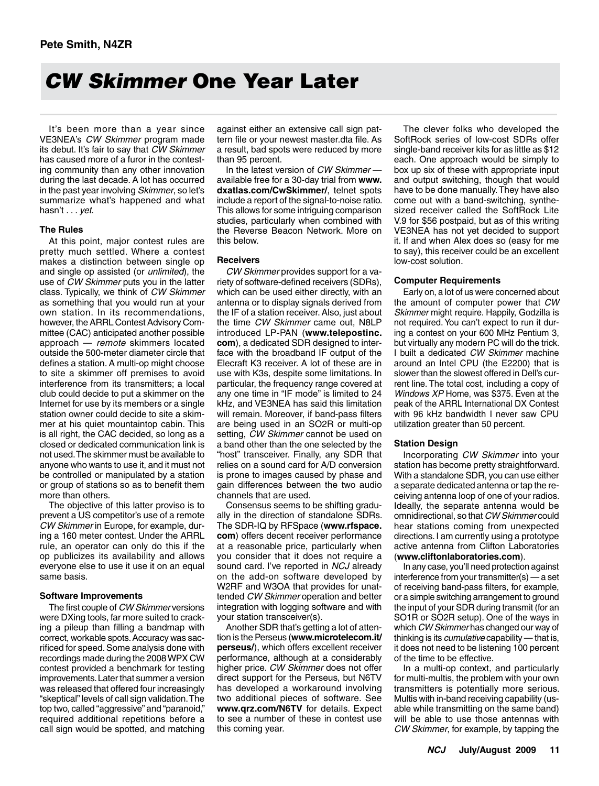# *CW Skimmer* One Year Later

It's been more than a year since VE3NEA's *CW Skimmer* program made its debut. It's fair to say that *CW Skimmer* has caused more of a furor in the contesting community than any other innovation during the last decade. A lot has occurred in the past year involving *Skimmer*, so let's summarize what's happened and what hasn't . . . *yet*.

# **The Rules**

At this point, major contest rules are pretty much settled. Where a contest makes a distinction between single op and single op assisted (or *unlimited*), the use of *CW Skimmer* puts you in the latter class. Typically, we think of *CW Skimmer* as something that you would run at your own station. In its recommendations, however, the ARRL Contest Advisory Committee (CAC) anticipated another possible approach — *remote* skimmers located outside the 500-meter diameter circle that defines a station. A multi-op might choose to site a skimmer off premises to avoid interference from its transmitters; a local club could decide to put a skimmer on the Internet for use by its members or a single station owner could decide to site a skimmer at his quiet mountaintop cabin. This is all right, the CAC decided, so long as a closed or dedicated communication link is not used. The skimmer must be available to anyone who wants to use it, and it must not be controlled or manipulated by a station or group of stations so as to benefit them more than others.

The objective of this latter proviso is to prevent a US competitor's use of a remote *CW Skimmer* in Europe, for example, during a 160 meter contest. Under the ARRL rule, an operator can only do this if the op publicizes its availability and allows everyone else to use it use it on an equal same basis.

# **Software Improvements**

The first couple of *CW Skimmer* versions were DXing tools, far more suited to cracking a pileup than filling a bandmap with correct, workable spots. Accuracy was sacrificed for speed. Some analysis done with recordings made during the 2008 WPX CW contest provided a benchmark for testing improvements. Later that summer a version was released that offered four increasingly "skeptical" levels of call sign validation. The top two, called "aggressive" and "paranoid," required additional repetitions before a call sign would be spotted, and matching

against either an extensive call sign pattern file or your newest master.dta file. As a result, bad spots were reduced by more than 95 percent.

In the latest version of *CW Skimmer* available free for a 30-day trial from **www. dxatlas.com/CwSkimmer/**, telnet spots include a report of the signal-to-noise ratio. This allows for some intriguing comparison studies, particularly when combined with the Reverse Beacon Network. More on this below.

# **Receivers**

*CW Skimmer* provides support for a variety of software-defined receivers (SDRs), which can be used either directly, with an antenna or to display signals derived from the IF of a station receiver. Also, just about the time *CW Skimmer* came out, N8LP introduced LP-PAN (**www.telepostinc. com**), a dedicated SDR designed to interface with the broadband IF output of the Elecraft K3 receiver. A lot of these are in use with K3s, despite some limitations. In particular, the frequency range covered at any one time in "IF mode" is limited to 24 kHz, and VE3NEA has said this limitation will remain. Moreover, if band-pass filters are being used in an SO2R or multi-op setting, *CW Skimmer* cannot be used on a band other than the one selected by the "host" transceiver. Finally, any SDR that relies on a sound card for A/D conversion is prone to images caused by phase and gain differences between the two audio channels that are used.

Consensus seems to be shifting gradually in the direction of standalone SDRs. The SDR-IQ by RFSpace (**www.rfspace. com**) offers decent receiver performance at a reasonable price, particularly when you consider that it does not require a sound card. I've reported in *NCJ* already on the add-on software developed by W2RF and W3OA that provides for unattended *CW Skimmer* operation and better integration with logging software and with your station transceiver(s).

Another SDR that's getting a lot of attention is the Perseus (**www.microtelecom.it/ perseus/**), which offers excellent receiver performance, although at a considerably higher price. *CW Skimmer* does not offer direct support for the Perseus, but N6TV has developed a workaround involving two additional pieces of software. See **www.qrz.com/N6TV** for details. Expect to see a number of these in contest use this coming year.

The clever folks who developed the SoftRock series of low-cost SDRs offer single-band receiver kits for as little as \$12 each. One approach would be simply to box up six of these with appropriate input and output switching, though that would have to be done manually. They have also come out with a band-switching, synthesized receiver called the SoftRock Lite V.9 for \$56 postpaid, but as of this writing VE3NEA has not yet decided to support it. If and when Alex does so (easy for me to say), this receiver could be an excellent low-cost solution.

# **Computer Requirements**

Early on, a lot of us were concerned about the amount of computer power that *CW Skimmer* might require. Happily, Godzilla is not required. You can't expect to run it during a contest on your 600 MHz Pentium 3, but virtually any modern PC will do the trick. I built a dedicated *CW Skimmer* machine around an Intel CPU (the E2200) that is slower than the slowest offered in Dell's current line. The total cost, including a copy of *Windows XP* Home, was \$375. Even at the peak of the ARRL International DX Contest with 96 kHz bandwidth I never saw CPU utilization greater than 50 percent.

# **Station Design**

Incorporating *CW Skimmer* into your station has become pretty straightforward. With a standalone SDR, you can use either a separate dedicated antenna or tap the receiving antenna loop of one of your radios. Ideally, the separate antenna would be omnidirectional, so that *CW Skimmer* could hear stations coming from unexpected directions. I am currently using a prototype active antenna from Clifton Laboratories (**www.cliftonlaboratories.com**).

In any case, you'll need protection against interference from your transmitter(s) — a set of receiving band-pass filters, for example, or a simple switching arrangement to ground the input of your SDR during transmit (for an SO1R or SO2R setup). One of the ways in which *CW Skimmer* has changed our way of thinking is its *cumulative* capability — that is, it does not need to be listening 100 percent of the time to be effective.

In a multi-op context, and particularly for multi-multis, the problem with your own transmitters is potentially more serious. Multis with in-band receiving capability (usable while transmitting on the same band) will be able to use those antennas with *CW Skimmer*, for example, by tapping the